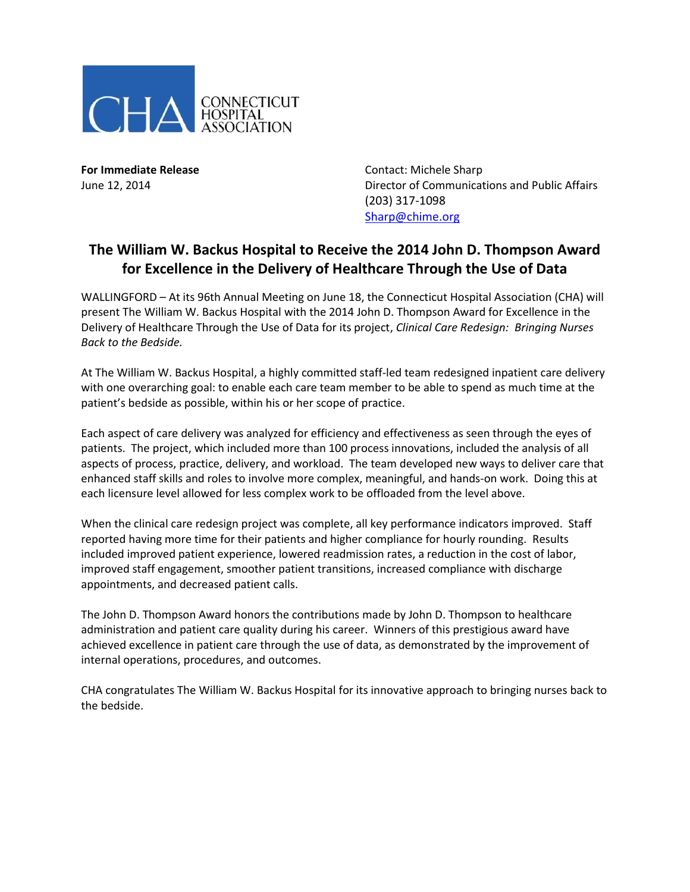

**For Immediate Release Contact: Michele Sharp** June 12, 2014 Director of Communications and Public Affairs (203) 317-1098 [Sharp@chime.org](mailto:Sharp@chime.org)

## **The William W. Backus Hospital to Receive the 2014 John D. Thompson Award for Excellence in the Delivery of Healthcare Through the Use of Data**

WALLINGFORD – At its 96th Annual Meeting on June 18, the Connecticut Hospital Association (CHA) will present The William W. Backus Hospital with the 2014 John D. Thompson Award for Excellence in the Delivery of Healthcare Through the Use of Data for its project, *Clinical Care Redesign: Bringing Nurses Back to the Bedside.*

At The William W. Backus Hospital, a highly committed staff-led team redesigned inpatient care delivery with one overarching goal: to enable each care team member to be able to spend as much time at the patient's bedside as possible, within his or her scope of practice.

Each aspect of care delivery was analyzed for efficiency and effectiveness as seen through the eyes of patients. The project, which included more than 100 process innovations, included the analysis of all aspects of process, practice, delivery, and workload. The team developed new ways to deliver care that enhanced staff skills and roles to involve more complex, meaningful, and hands-on work. Doing this at each licensure level allowed for less complex work to be offloaded from the level above.

When the clinical care redesign project was complete, all key performance indicators improved. Staff reported having more time for their patients and higher compliance for hourly rounding. Results included improved patient experience, lowered readmission rates, a reduction in the cost of labor, improved staff engagement, smoother patient transitions, increased compliance with discharge appointments, and decreased patient calls.

The John D. Thompson Award honors the contributions made by John D. Thompson to healthcare administration and patient care quality during his career. Winners of this prestigious award have achieved excellence in patient care through the use of data, as demonstrated by the improvement of internal operations, procedures, and outcomes.

CHA congratulates The William W. Backus Hospital for its innovative approach to bringing nurses back to the bedside.